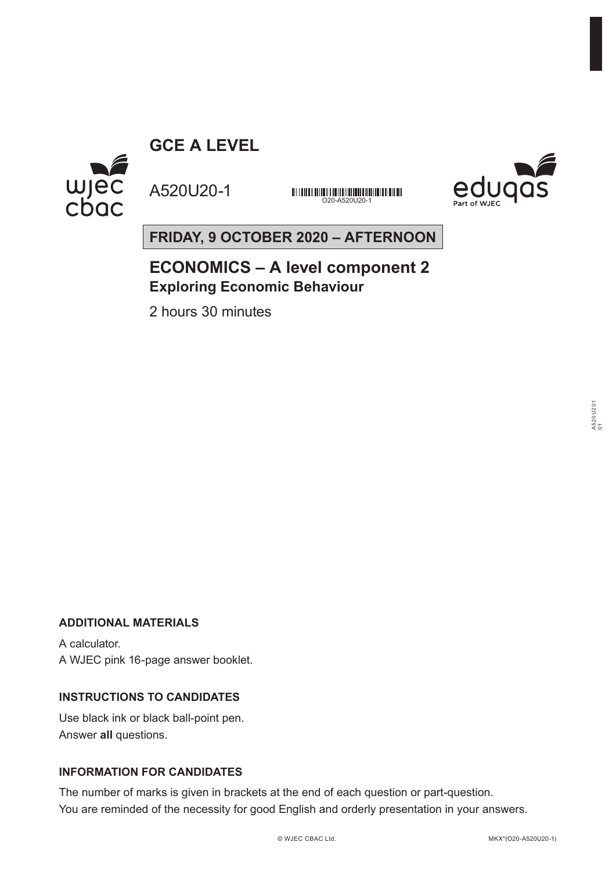**GCE A LEVEL**



A520U20-1

<u> DITTING DITION DITION AND DITTING ON DITION AND THE REAL PROPERTY.</u> O20-A520U20-1



**FRIDAY, 9 OCTOBER 2020 – AFTERNOON**

# **ECONOMICS – A level component 2 Exploring Economic Behaviour**

2 hours 30 minutes

# **ADDITIONAL MATERIALS**

A calculator. A WJEC pink 16-page answer booklet.

# **INSTRUCTIONS TO CANDIDATES**

Use black ink or black ball-point pen. Answer **all** questions.

# **INFORMATION FOR CANDIDATES**

The number of marks is given in brackets at the end of each question or part-question. You are reminded of the necessity for good English and orderly presentation in your answers.

A520U201 A520U201<br>01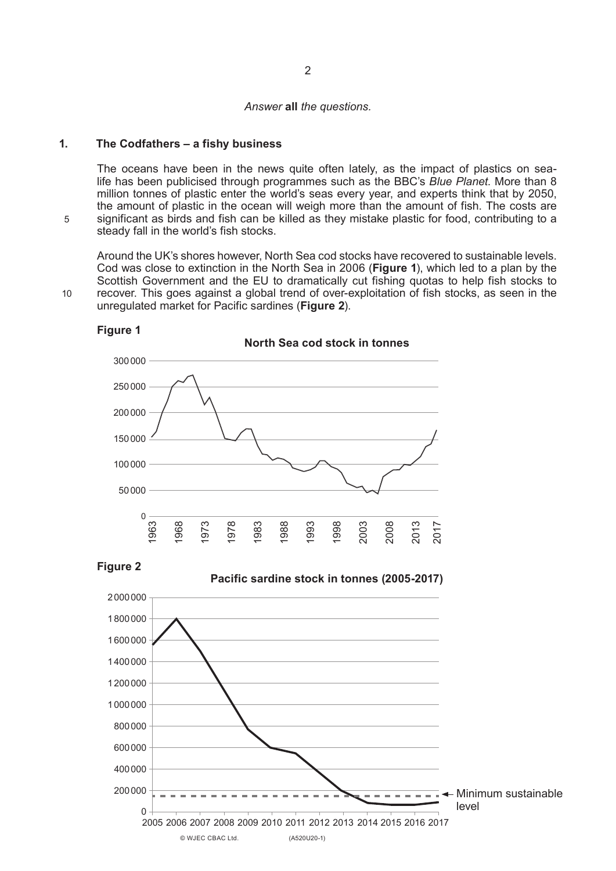#### *Answer* **all** *the questions.*

## **1. The Codfathers – a fishy business**

The oceans have been in the news quite often lately, as the impact of plastics on sealife has been publicised through programmes such as the BBC's *Blue Planet*. More than 8 million tonnes of plastic enter the world's seas every year, and experts think that by 2050, the amount of plastic in the ocean will weigh more than the amount of fish. The costs are significant as birds and fish can be killed as they mistake plastic for food, contributing to a steady fall in the world's fish stocks.

Around the UK's shores however, North Sea cod stocks have recovered to sustainable levels. Cod was close to extinction in the North Sea in 2006 (**Figure 1**), which led to a plan by the Scottish Government and the EU to dramatically cut fishing quotas to help fish stocks to recover. This goes against a global trend of over-exploitation of fish stocks, as seen in the unregulated market for Pacific sardines (**Figure 2**).



**Figure 1**

**Figure 2**

**Pacific sardine stock in tonnes (2005-2017)**

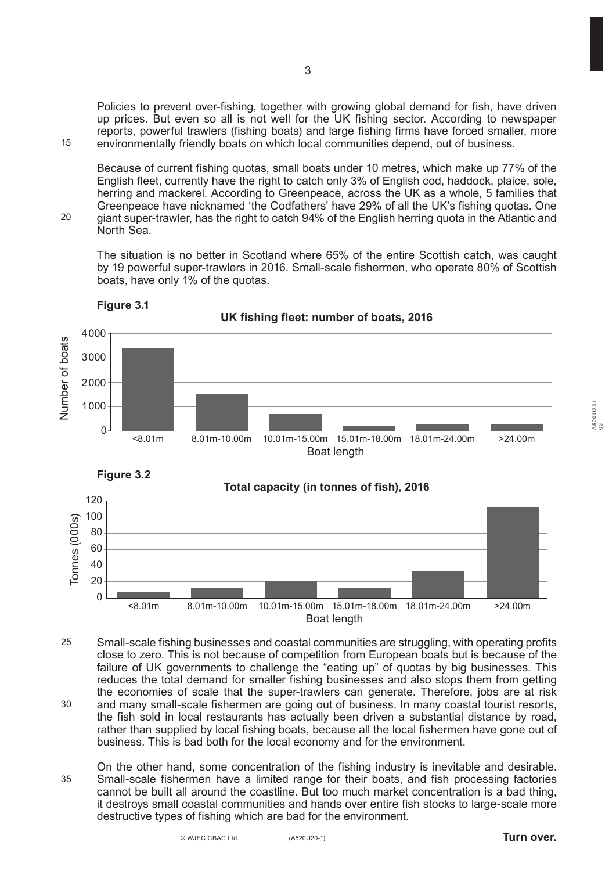Policies to prevent over-fishing, together with growing global demand for fish, have driven up prices. But even so all is not well for the UK fishing sector. According to newspaper reports, powerful trawlers (fishing boats) and large fishing firms have forced smaller, more environmentally friendly boats on which local communities depend, out of business.

Because of current fishing quotas, small boats under 10 metres, which make up 77% of the English fleet, currently have the right to catch only 3% of English cod, haddock, plaice, sole, herring and mackerel. According to Greenpeace, across the UK as a whole, 5 families that Greenpeace have nicknamed 'the Codfathers' have 29% of all the UK's fishing quotas. One giant super-trawler, has the right to catch 94% of the English herring quota in the Atlantic and North Sea.

The situation is no better in Scotland where 65% of the entire Scottish catch, was caught by 19 powerful super-trawlers in 2016. Small-scale fishermen, who operate 80% of Scottish boats, have only 1% of the quotas.





15

 $20$ 

**UK fishing fleet: number of boats, 2016**



**Total capacity (in tonnes of fish), 2016**



- Small-scale fishing businesses and coastal communities are struggling, with operating profits close to zero. This is not because of competition from European boats but is because of the failure of UK governments to challenge the "eating up" of quotas by big businesses. This reduces the total demand for smaller fishing businesses and also stops them from getting the economies of scale that the super-trawlers can generate. Therefore, jobs are at risk and many small-scale fishermen are going out of business. In many coastal tourist resorts, the fish sold in local restaurants has actually been driven a substantial distance by road, rather than supplied by local fishing boats, because all the local fishermen have gone out of business. This is bad both for the local economy and for the environment. 25 30
- On the other hand, some concentration of the fishing industry is inevitable and desirable. Small-scale fishermen have a limited range for their boats, and fish processing factories cannot be built all around the coastline. But too much market concentration is a bad thing, it destroys small coastal communities and hands over entire fish stocks to large-scale more destructive types of fishing which are bad for the environment. 35

A520U201 A520U201<br>03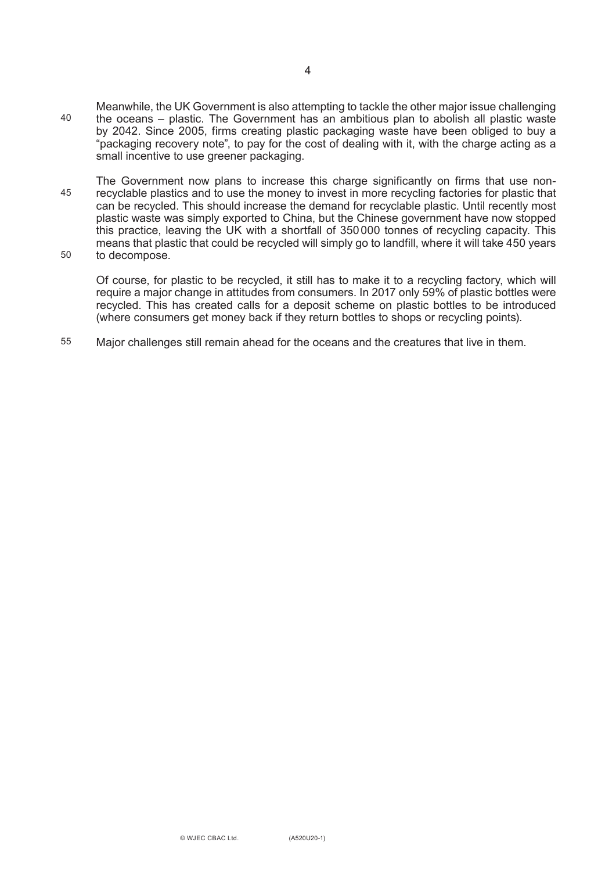- Meanwhile, the UK Government is also attempting to tackle the other major issue challenging the oceans – plastic. The Government has an ambitious plan to abolish all plastic waste by 2042. Since 2005, firms creating plastic packaging waste have been obliged to buy a "packaging recovery note", to pay for the cost of dealing with it, with the charge acting as a small incentive to use greener packaging. 40
- The Government now plans to increase this charge significantly on firms that use nonrecyclable plastics and to use the money to invest in more recycling factories for plastic that can be recycled. This should increase the demand for recyclable plastic. Until recently most plastic waste was simply exported to China, but the Chinese government have now stopped this practice, leaving the UK with a shortfall of 350000 tonnes of recycling capacity. This means that plastic that could be recycled will simply go to landfill, where it will take 450 years to decompose. 45 50
- 

Of course, for plastic to be recycled, it still has to make it to a recycling factory, which will require a major change in attitudes from consumers. In 2017 only 59% of plastic bottles were recycled. This has created calls for a deposit scheme on plastic bottles to be introduced (where consumers get money back if they return bottles to shops or recycling points).

Major challenges still remain ahead for the oceans and the creatures that live in them. 55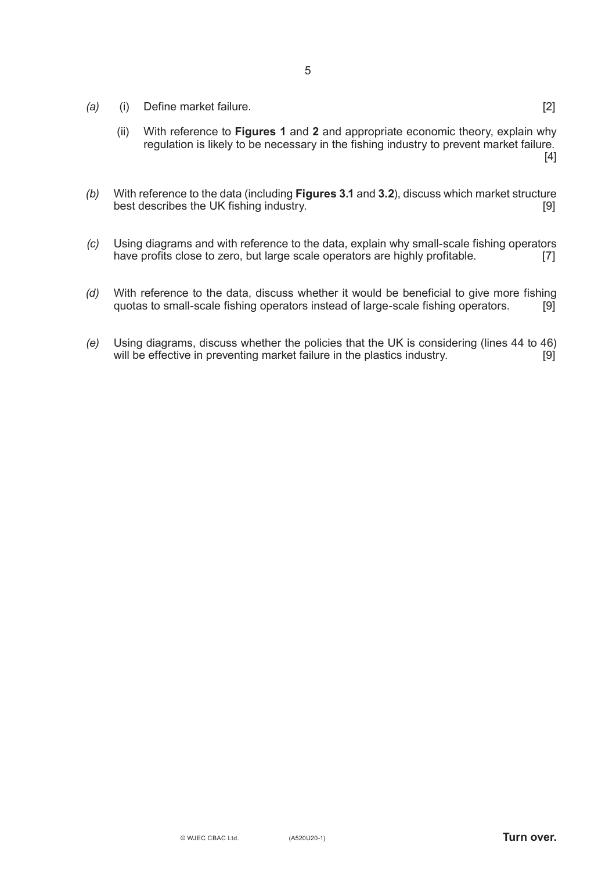- *(a)* (i) Define market failure. [2]
	- (ii) With reference to **Figures 1** and **2** and appropriate economic theory, explain why regulation is likely to be necessary in the fishing industry to prevent market failure. [4]
- *(b)* With reference to the data (including **Figures 3.1** and **3.2**), discuss which market structure best describes the UK fishing industry.
- *(c)* Using diagrams and with reference to the data, explain why small-scale fishing operators have profits close to zero, but large scale operators are highly profitable.
- *(d)* With reference to the data, discuss whether it would be beneficial to give more fishing quotas to small-scale fishing operators instead of large-scale fishing operators. quotas to small-scale fishing operators instead of large-scale fishing operators.
- *(e)* Using diagrams, discuss whether the policies that the UK is considering (lines 44 to 46) will be effective in preventing market failure in the plastics industry. [9]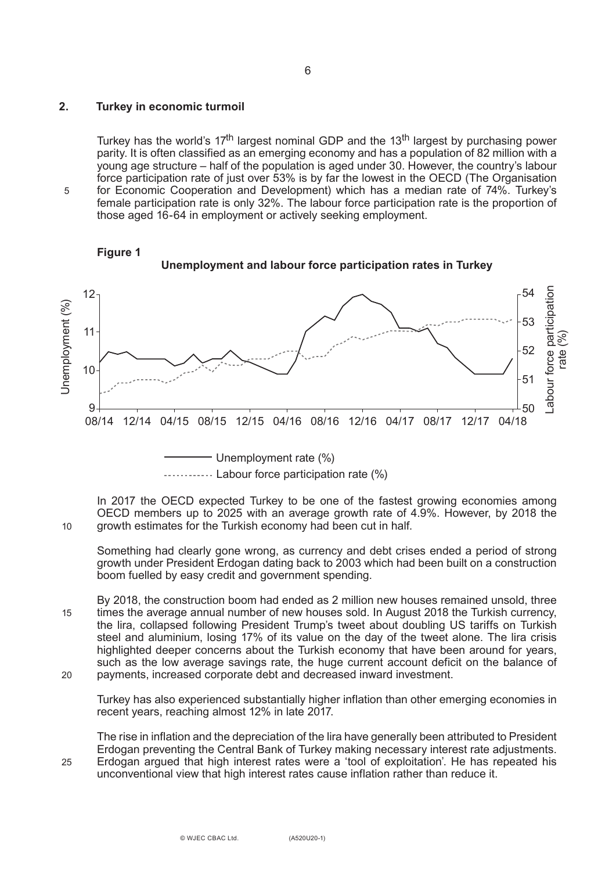### **2. Turkey in economic turmoil**

5

10

25

Turkey has the world's  $17<sup>th</sup>$  largest nominal GDP and the  $13<sup>th</sup>$  largest by purchasing power parity. It is often classified as an emerging economy and has a population of 82 million with a young age structure – half of the population is aged under 30. However, the country's labour force participation rate of just over 53% is by far the lowest in the OECD (The Organisation for Economic Cooperation and Development) which has a median rate of 74%. Turkey's female participation rate is only 32%. The labour force participation rate is the proportion of those aged 16-64 in employment or actively seeking employment.



In 2017 the OECD expected Turkey to be one of the fastest growing economies among OECD members up to 2025 with an average growth rate of 4.9%. However, by 2018 the growth estimates for the Turkish economy had been cut in half.

Something had clearly gone wrong, as currency and debt crises ended a period of strong growth under President Erdogan dating back to 2003 which had been built on a construction boom fuelled by easy credit and government spending.

By 2018, the construction boom had ended as 2 million new houses remained unsold, three times the average annual number of new houses sold. In August 2018 the Turkish currency, the lira, collapsed following President Trump's tweet about doubling US tariffs on Turkish steel and aluminium, losing 17% of its value on the day of the tweet alone. The lira crisis highlighted deeper concerns about the Turkish economy that have been around for years, such as the low average savings rate, the huge current account deficit on the balance of payments, increased corporate debt and decreased inward investment. 15 20

Turkey has also experienced substantially higher inflation than other emerging economies in recent years, reaching almost 12% in late 2017.

The rise in inflation and the depreciation of the lira have generally been attributed to President Erdogan preventing the Central Bank of Turkey making necessary interest rate adjustments. Erdogan argued that high interest rates were a 'tool of exploitation'. He has repeated his unconventional view that high interest rates cause inflation rather than reduce it.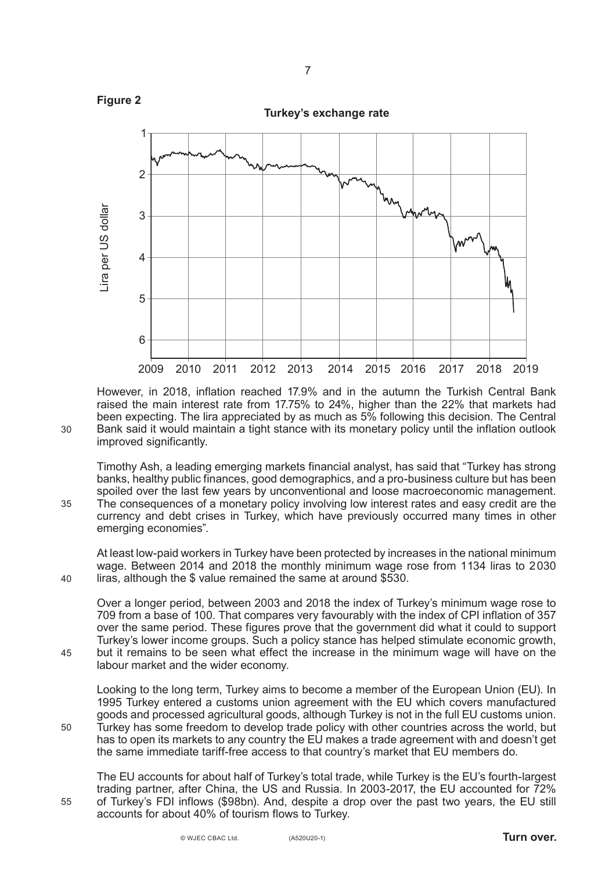

However, in 2018, inflation reached 17.9% and in the autumn the Turkish Central Bank raised the main interest rate from 17.75% to 24%, higher than the 22% that markets had been expecting. The lira appreciated by as much as 5% following this decision. The Central Bank said it would maintain a tight stance with its monetary policy until the inflation outlook improved significantly.

Timothy Ash, a leading emerging markets financial analyst, has said that "Turkey has strong banks, healthy public finances, good demographics, and a pro-business culture but has been spoiled over the last few years by unconventional and loose macroeconomic management. The consequences of a monetary policy involving low interest rates and easy credit are the currency and debt crises in Turkey, which have previously occurred many times in other emerging economies".

At least low-paid workers in Turkey have been protected by increases in the national minimum wage. Between 2014 and 2018 the monthly minimum wage rose from 1134 liras to 2030 liras, although the \$ value remained the same at around \$530.

Over a longer period, between 2003 and 2018 the index of Turkey's minimum wage rose to 709 from a base of 100. That compares very favourably with the index of CPI inflation of 357 over the same period. These figures prove that the government did what it could to support Turkey's lower income groups. Such a policy stance has helped stimulate economic growth, but it remains to be seen what effect the increase in the minimum wage will have on the labour market and the wider economy.

Looking to the long term, Turkey aims to become a member of the European Union (EU). In 1995 Turkey entered a customs union agreement with the EU which covers manufactured goods and processed agricultural goods, although Turkey is not in the full EU customs union. Turkey has some freedom to develop trade policy with other countries across the world, but has to open its markets to any country the EU makes a trade agreement with and doesn't get the same immediate tariff-free access to that country's market that EU members do.

The EU accounts for about half of Turkey's total trade, while Turkey is the EU's fourth-largest trading partner, after China, the US and Russia. In 2003-2017, the EU accounted for 72% of Turkey's FDI inflows (\$98bn). And, despite a drop over the past two years, the EU still accounts for about 40% of tourism flows to Turkey.

30

35

40

45

50

55